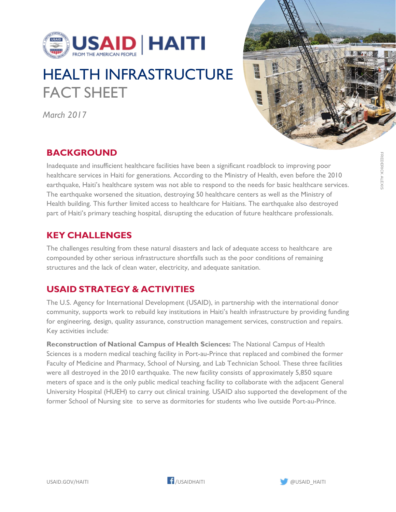

## HEALTH INFRASTRUCTURE FACT SHEET

*March 2017* 



## **BACKGROUND**

Inadequate and insufficient healthcare facilities have been a significant roadblock to improving poor healthcare services in Haiti for generations. According to the Ministry of Health, even before the 2010 earthquake, Haiti's healthcare system was not able to respond to the needs for basic healthcare services. The earthquake worsened the situation, destroying 50 healthcare centers as well as the Ministry of Health building. This further limited access to healthcare for Haitians. The earthquake also destroyed part of Haiti's primary teaching hospital, disrupting the education of future healthcare professionals.

## **KEY CHALLENGES**

The challenges resulting from these natural disasters and lack of adequate access to healthcare are compounded by other serious infrastructure shortfalls such as the poor conditions of remaining structures and the lack of clean water, electricity, and adequate sanitation.

## **USAID STRATEGY & ACTIVITIES**

The U.S. Agency for International Development (USAID), in partnership with the international donor community, supports work to rebuild key institutions in Haiti's health infrastructure by providing funding for engineering, design, quality assurance, construction management services, construction and repairs. Key activities include:

**Reconstruction of National Campus of Health Sciences:** The National Campus of Health Sciences is a modern medical teaching facility in Port-au-Prince that replaced and combined the former Faculty of Medicine and Pharmacy, School of Nursing, and Lab Technician School. These three facilities were all destroyed in the 2010 earthquake. The new facility consists of approximately 5,850 square meters of space and is the only public medical teaching facility to collaborate with the adjacent General University Hospital (HUEH) to carry out clinical training. USAID also supported the development of the former School of Nursing site to serve as dormitories for students who live outside Port-au-Prince.